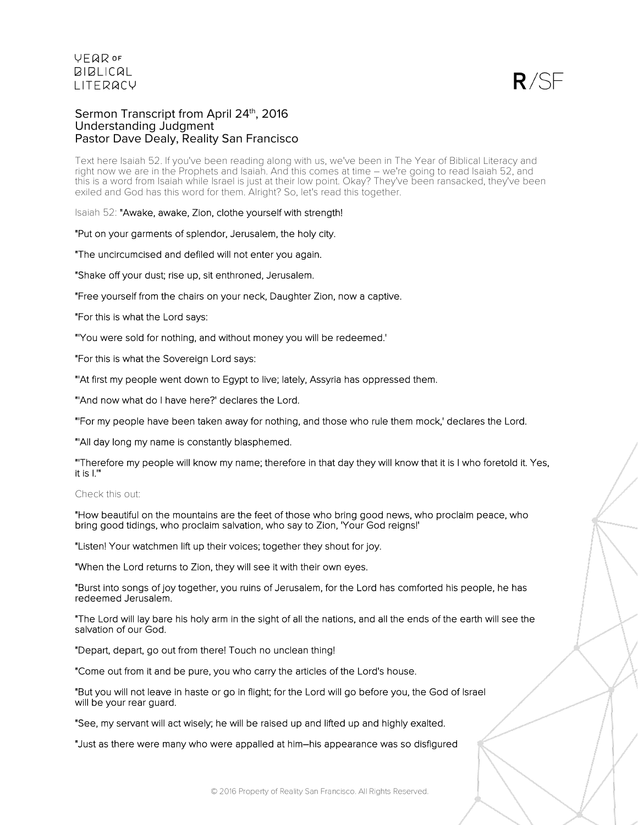$R/SF$ 

### Sermon Transcript from April 24<sup>th</sup>, 2016 Understanding Judgment Pastor Dave Dealy, Reality San Francisco

Text here Isaiah 52. If you've been reading along with us, we've been in The Year of Biblical Literacy and right now we are in the Prophets and Isaiah. And this comes at time – we're going to read Isaiah 52, and this is a word from Isaiah while Israel is just at their low point. Okay? They've been ransacked, they've been exiled and God has this word for them. Alright? So, let's read this together.

Isaiah 52: "Awake, awake, Zion, clothe yourself with strength!

"Put on your garments of splendor, Jerusalem, the holy city.

"The uncircumcised and defiled will not enter you again.

"Shake off your dust; rise up, sit enthroned, Jerusalem.

"Free yourself from the chairs on your neck, Daughter Zion, now a captive.

"For this is what the Lord says:

"'You were sold for nothing, and without money you will be redeemed.'

"For this is what the Sovereign Lord says:

"'At first my people went down to Egypt to live; lately, Assyria has oppressed them.

"'And now what do I have here?' declares the Lord.

"'For my people have been taken away for nothing, and those who rule them mock,' declares the Lord.

"'All day long my name is constantly blasphemed.

"'Therefore my people will know my name; therefore in that day they will know that it is I who foretold it. Yes, it is I.'"

### Check this out:

"How beautiful on the mountains are the feet of those who bring good news, who proclaim peace, who bring good tidings, who proclaim salvation, who say to Zion, 'Your God reigns!'

"Listen! Your watchmen lift up their voices; together they shout for joy.

"When the Lord returns to Zion, they will see it with their own eyes.

"Burst into songs of joy together, you ruins of Jerusalem, for the Lord has comforted his people, he has redeemed Jerusalem.

"The Lord will lay bare his holy arm in the sight of all the nations, and all the ends of the earth will see the salvation of our God.

"Depart, depart, go out from there! Touch no unclean thing!

"Come out from it and be pure, you who carry the articles of the Lord's house.

"But you will not leave in haste or go in flight; for the Lord will go before you, the God of Israel will be your rear guard.

"See, my servant will act wisely; he will be raised up and lifted up and highly exalted.

"Just as there were many who were appalled at him–his appearance was so disfigured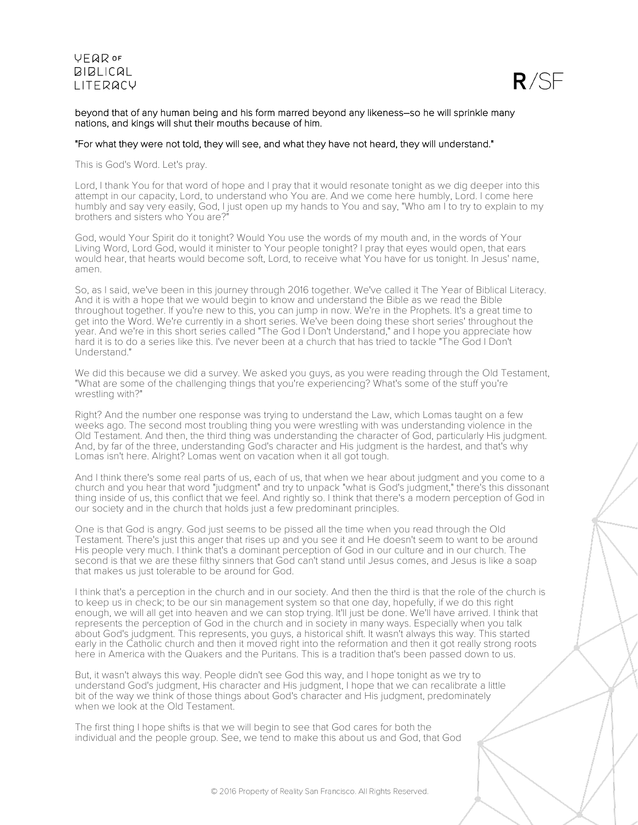

### beyond that of any human being and his form marred beyond any likeness–so he will sprinkle many nations, and kings will shut their mouths because of him.

### "For what they were not told, they will see, and what they have not heard, they will understand."

This is God's Word. Let's pray.

Lord, I thank You for that word of hope and I pray that it would resonate tonight as we dig deeper into this attempt in our capacity, Lord, to understand who You are. And we come here humbly, Lord. I come here humbly and say very easily, God, I just open up my hands to You and say, "Who am I to try to explain to my brothers and sisters who You are?"

God, would Your Spirit do it tonight? Would You use the words of my mouth and, in the words of Your Living Word, Lord God, would it minister to Your people tonight? I pray that eyes would open, that ears would hear, that hearts would become soft, Lord, to receive what You have for us tonight. In Jesus' name, amen.

So, as I said, we've been in this journey through 2016 together. We've called it The Year of Biblical Literacy. And it is with a hope that we would begin to know and understand the Bible as we read the Bible throughout together. If you're new to this, you can jump in now. We're in the Prophets. It's a great time to get into the Word. We're currently in a short series. We've been doing these short series' throughout the year. And we're in this short series called "The God I Don't Understand," and I hope you appreciate how hard it is to do a series like this. I've never been at a church that has tried to tackle "The God I Don't Understand."

We did this because we did a survey. We asked you guys, as you were reading through the Old Testament, "What are some of the challenging things that you're experiencing? What's some of the stuff you're wrestling with?"

Right? And the number one response was trying to understand the Law, which Lomas taught on a few weeks ago. The second most troubling thing you were wrestling with was understanding violence in the Old Testament. And then, the third thing was understanding the character of God, particularly His judgment. And, by far of the three, understanding God's character and His judgment is the hardest, and that's why Lomas isn't here. Alright? Lomas went on vacation when it all got tough.

And I think there's some real parts of us, each of us, that when we hear about judgment and you come to a church and you hear that word "judgment" and try to unpack "what is God's judgment," there's this dissonant thing inside of us, this conflict that we feel. And rightly so. I think that there's a modern perception of God in our society and in the church that holds just a few predominant principles.

One is that God is angry. God just seems to be pissed all the time when you read through the Old Testament. There's just this anger that rises up and you see it and He doesn't seem to want to be around His people very much. I think that's a dominant perception of God in our culture and in our church. The second is that we are these filthy sinners that God can't stand until Jesus comes, and Jesus is like a soap that makes us just tolerable to be around for God.

I think that's a perception in the church and in our society. And then the third is that the role of the church is to keep us in check; to be our sin management system so that one day, hopefully, if we do this right enough, we will all get into heaven and we can stop trying. It'll just be done. We'll have arrived. I think that represents the perception of God in the church and in society in many ways. Especially when you talk about God's judgment. This represents, you guys, a historical shift. It wasn't always this way. This started early in the Catholic church and then it moved right into the reformation and then it got really strong roots here in America with the Quakers and the Puritans. This is a tradition that's been passed down to us.

But, it wasn't always this way. People didn't see God this way, and I hope tonight as we try to understand God's judgment, His character and His judgment, I hope that we can recalibrate a little bit of the way we think of those things about God's character and His judgment, predominately when we look at the Old Testament.

The first thing I hope shifts is that we will begin to see that God cares for both the individual and the people group. See, we tend to make this about us and God, that God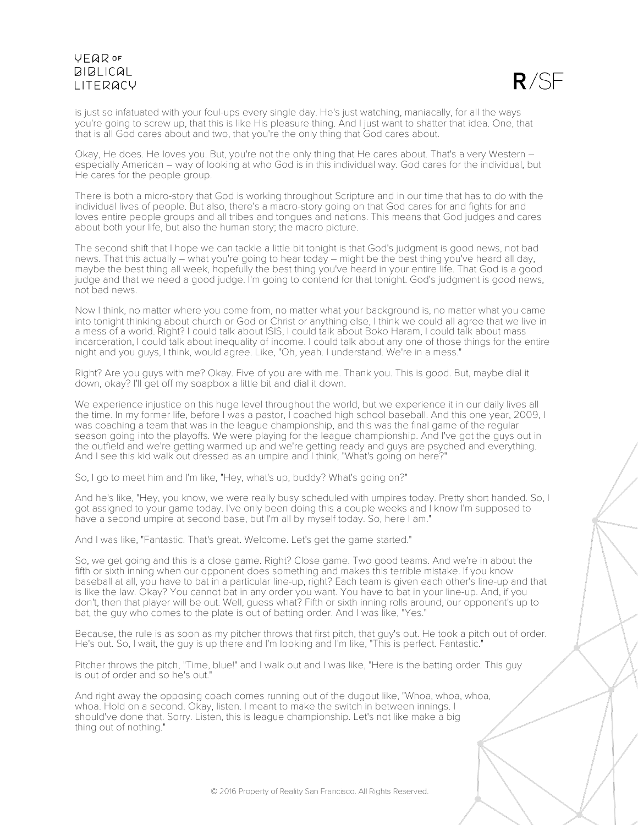

is just so infatuated with your foul-ups every single day. He's just watching, maniacally, for all the ways you're going to screw up, that this is like His pleasure thing. And I just want to shatter that idea. One, that that is all God cares about and two, that you're the only thing that God cares about.

Okay, He does. He loves you. But, you're not the only thing that He cares about. That's a very Western – especially American – way of looking at who God is in this individual way. God cares for the individual, but He cares for the people group.

There is both a micro-story that God is working throughout Scripture and in our time that has to do with the individual lives of people. But also, there's a macro-story going on that God cares for and fights for and loves entire people groups and all tribes and tongues and nations. This means that God judges and cares about both your life, but also the human story; the macro picture.

The second shift that I hope we can tackle a little bit tonight is that God's judgment is good news, not bad news. That this actually – what you're going to hear today – might be the best thing you've heard all day, maybe the best thing all week, hopefully the best thing you've heard in your entire life. That God is a good judge and that we need a good judge. I'm going to contend for that tonight. God's judgment is good news, not bad news.

Now I think, no matter where you come from, no matter what your background is, no matter what you came into tonight thinking about church or God or Christ or anything else, I think we could all agree that we live in a mess of a world. Right? I could talk about ISIS, I could talk about Boko Haram, I could talk about mass incarceration, I could talk about inequality of income. I could talk about any one of those things for the entire night and you guys, I think, would agree. Like, "Oh, yeah. I understand. We're in a mess."

Right? Are you guys with me? Okay. Five of you are with me. Thank you. This is good. But, maybe dial it down, okay? I'll get off my soapbox a little bit and dial it down.

We experience injustice on this huge level throughout the world, but we experience it in our daily lives all the time. In my former life, before I was a pastor, I coached high school baseball. And this one year, 2009, I was coaching a team that was in the league championship, and this was the final game of the regular season going into the playoffs. We were playing for the league championship. And I've got the guys out in the outfield and we're getting warmed up and we're getting ready and guys are psyched and everything. And I see this kid walk out dressed as an umpire and I think, "What's going on here?"

So, I go to meet him and I'm like, "Hey, what's up, buddy? What's going on?"

And he's like, "Hey, you know, we were really busy scheduled with umpires today. Pretty short handed. So, I got assigned to your game today. I've only been doing this a couple weeks and I know I'm supposed to have a second umpire at second base, but I'm all by myself today. So, here I am."

And I was like, "Fantastic. That's great. Welcome. Let's get the game started."

So, we get going and this is a close game. Right? Close game. Two good teams. And we're in about the fifth or sixth inning when our opponent does something and makes this terrible mistake. If you know baseball at all, you have to bat in a particular line-up, right? Each team is given each other's line-up and that is like the law. Okay? You cannot bat in any order you want. You have to bat in your line-up. And, if you don't, then that player will be out. Well, guess what? Fifth or sixth inning rolls around, our opponent's up to bat, the guy who comes to the plate is out of batting order. And I was like, "Yes."

Because, the rule is as soon as my pitcher throws that first pitch, that guy's out. He took a pitch out of order. He's out. So, I wait, the guy is up there and I'm looking and I'm like, "This is perfect. Fantastic."

Pitcher throws the pitch, "Time, blue!" and I walk out and I was like, "Here is the batting order. This guy is out of order and so he's out."

And right away the opposing coach comes running out of the dugout like, "Whoa, whoa, whoa, whoa. Hold on a second. Okay, listen. I meant to make the switch in between innings. I should've done that. Sorry. Listen, this is league championship. Let's not like make a big thing out of nothing."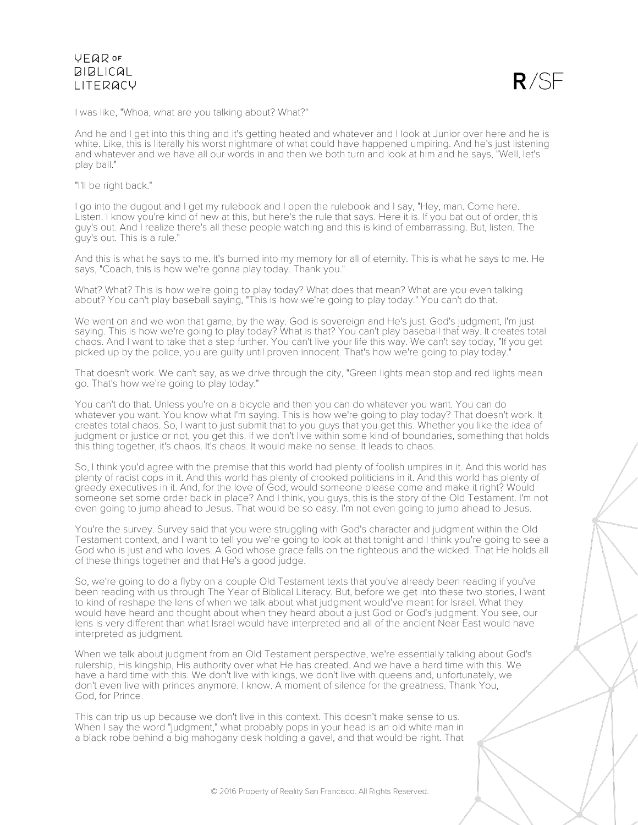

I was like, "Whoa, what are you talking about? What?"

And he and I get into this thing and it's getting heated and whatever and I look at Junior over here and he is white. Like, this is literally his worst nightmare of what could have happened umpiring. And he's just listening and whatever and we have all our words in and then we both turn and look at him and he says, "Well, let's play ball."

"I'll be right back."

I go into the dugout and I get my rulebook and I open the rulebook and I say, "Hey, man. Come here. Listen. I know you're kind of new at this, but here's the rule that says. Here it is. If you bat out of order, this guy's out. And I realize there's all these people watching and this is kind of embarrassing. But, listen. The guy's out. This is a rule."

And this is what he says to me. It's burned into my memory for all of eternity. This is what he says to me. He says, "Coach, this is how we're gonna play today. Thank you."

What? What? This is how we're going to play today? What does that mean? What are you even talking about? You can't play baseball saying, "This is how we're going to play today." You can't do that.

We went on and we won that game, by the way. God is sovereign and He's just. God's judgment, I'm just saying. This is how we're going to play today? What is that? You can't play baseball that way. It creates total chaos. And I want to take that a step further. You can't live your life this way. We can't say today, "If you get picked up by the police, you are guilty until proven innocent. That's how we're going to play today."

That doesn't work. We can't say, as we drive through the city, "Green lights mean stop and red lights mean go. That's how we're going to play today."

You can't do that. Unless you're on a bicycle and then you can do whatever you want. You can do whatever you want. You know what I'm saying. This is how we're going to play today? That doesn't work. It creates total chaos. So, I want to just submit that to you guys that you get this. Whether you like the idea of judgment or justice or not, you get this. If we don't live within some kind of boundaries, something that holds this thing together, it's chaos. It's chaos. It would make no sense. It leads to chaos.

So, I think you'd agree with the premise that this world had plenty of foolish umpires in it. And this world has plenty of racist cops in it. And this world has plenty of crooked politicians in it. And this world has plenty of greedy executives in it. And, for the love of God, would someone please come and make it right? Would someone set some order back in place? And I think, you guys, this is the story of the Old Testament. I'm not even going to jump ahead to Jesus. That would be so easy. I'm not even going to jump ahead to Jesus.

You're the survey. Survey said that you were struggling with God's character and judgment within the Old Testament context, and I want to tell you we're going to look at that tonight and I think you're going to see a God who is just and who loves. A God whose grace falls on the righteous and the wicked. That He holds all of these things together and that He's a good judge.

So, we're going to do a flyby on a couple Old Testament texts that you've already been reading if you've been reading with us through The Year of Biblical Literacy. But, before we get into these two stories, I want to kind of reshape the lens of when we talk about what judgment would've meant for Israel. What they would have heard and thought about when they heard about a just God or God's judgment. You see, our lens is very different than what Israel would have interpreted and all of the ancient Near East would have interpreted as judgment.

When we talk about judgment from an Old Testament perspective, we're essentially talking about God's rulership, His kingship, His authority over what He has created. And we have a hard time with this. We have a hard time with this. We don't live with kings, we don't live with queens and, unfortunately, we don't even live with princes anymore. I know. A moment of silence for the greatness. Thank You, God, for Prince.

This can trip us up because we don't live in this context. This doesn't make sense to us. When I say the word "judgment," what probably pops in your head is an old white man in a black robe behind a big mahogany desk holding a gavel, and that would be right. That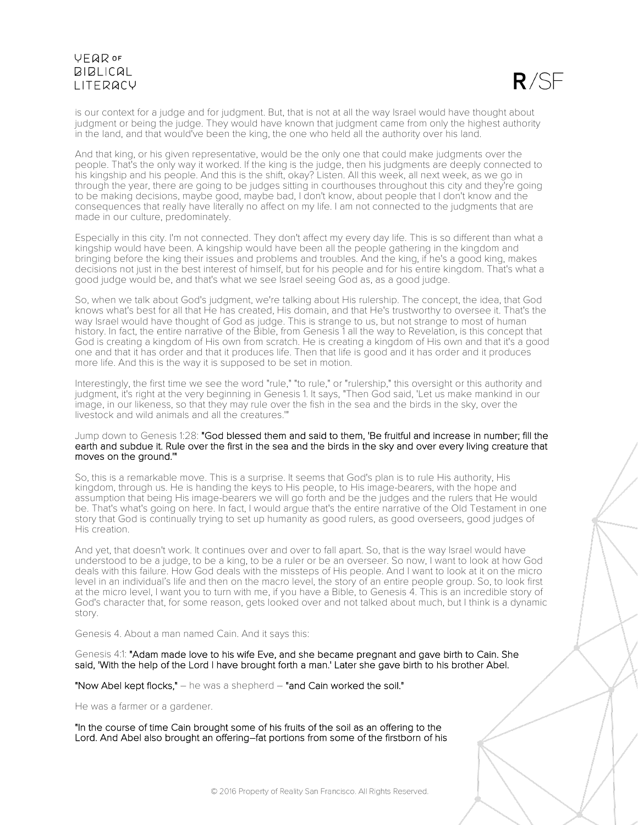

is our context for a judge and for judgment. But, that is not at all the way Israel would have thought about judgment or being the judge. They would have known that judgment came from only the highest authority in the land, and that would've been the king, the one who held all the authority over his land.

And that king, or his given representative, would be the only one that could make judgments over the people. That's the only way it worked. If the king is the judge, then his judgments are deeply connected to his kingship and his people. And this is the shift, okay? Listen. All this week, all next week, as we go in through the year, there are going to be judges sitting in courthouses throughout this city and they're going to be making decisions, maybe good, maybe bad, I don't know, about people that I don't know and the consequences that really have literally no affect on my life. I am not connected to the judgments that are made in our culture, predominately.

Especially in this city. I'm not connected. They don't affect my every day life. This is so different than what a kingship would have been. A kingship would have been all the people gathering in the kingdom and bringing before the king their issues and problems and troubles. And the king, if he's a good king, makes decisions not just in the best interest of himself, but for his people and for his entire kingdom. That's what a good judge would be, and that's what we see Israel seeing God as, as a good judge.

So, when we talk about God's judgment, we're talking about His rulership. The concept, the idea, that God knows what's best for all that He has created, His domain, and that He's trustworthy to oversee it. That's the way Israel would have thought of God as judge. This is strange to us, but not strange to most of human history. In fact, the entire narrative of the Bible, from Genesis 1 all the way to Revelation, is this concept that God is creating a kingdom of His own from scratch. He is creating a kingdom of His own and that it's a good one and that it has order and that it produces life. Then that life is good and it has order and it produces more life. And this is the way it is supposed to be set in motion.

Interestingly, the first time we see the word "rule," "to rule," or "rulership," this oversight or this authority and judgment, it's right at the very beginning in Genesis 1. It says, "Then God said, 'Let us make mankind in our image, in our likeness, so that they may rule over the fish in the sea and the birds in the sky, over the livestock and wild animals and all the creatures.'"

### Jump down to Genesis 1:28: "God blessed them and said to them, 'Be fruitful and increase in number; fill the earth and subdue it. Rule over the first in the sea and the birds in the sky and over every living creature that moves on the ground.'"

So, this is a remarkable move. This is a surprise. It seems that God's plan is to rule His authority, His kingdom, through us. He is handing the keys to His people, to His image-bearers, with the hope and assumption that being His image-bearers we will go forth and be the judges and the rulers that He would be. That's what's going on here. In fact, I would argue that's the entire narrative of the Old Testament in one story that God is continually trying to set up humanity as good rulers, as good overseers, good judges of His creation.

And yet, that doesn't work. It continues over and over to fall apart. So, that is the way Israel would have understood to be a judge, to be a king, to be a ruler or be an overseer. So now, I want to look at how God deals with this failure. How God deals with the missteps of His people. And I want to look at it on the micro level in an individual's life and then on the macro level, the story of an entire people group. So, to look first at the micro level, I want you to turn with me, if you have a Bible, to Genesis 4. This is an incredible story of God's character that, for some reason, gets looked over and not talked about much, but I think is a dynamic story.

Genesis 4. About a man named Cain. And it says this:

Genesis 4:1: "Adam made love to his wife Eve, and she became pregnant and gave birth to Cain. She said, 'With the help of the Lord I have brought forth a man.' Later she gave birth to his brother Abel.

"Now Abel kept flocks," – he was a shepherd – "and Cain worked the soil."

He was a farmer or a gardener.

"In the course of time Cain brought some of his fruits of the soil as an offering to the Lord. And Abel also brought an offering–fat portions from some of the firstborn of his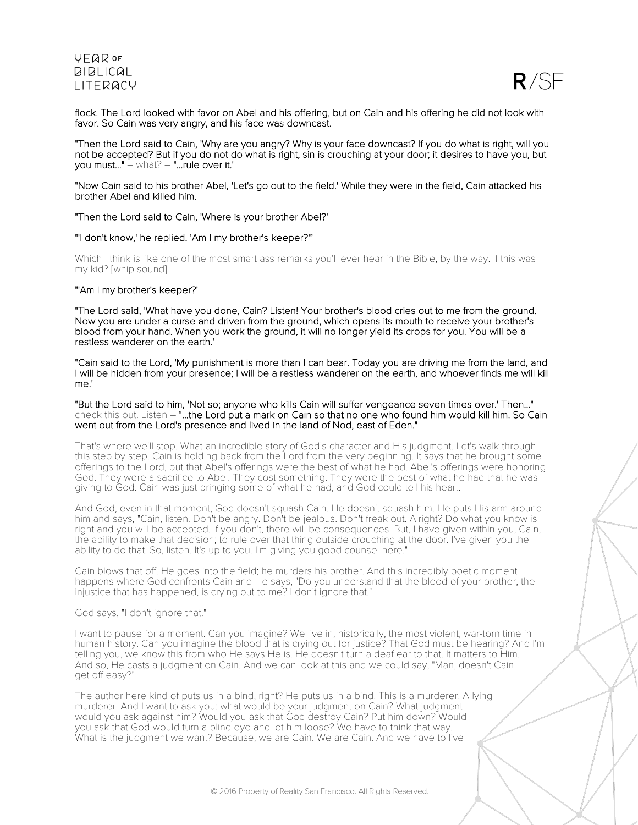

flock. The Lord looked with favor on Abel and his offering, but on Cain and his offering he did not look with favor. So Cain was very angry, and his face was downcast.

"Then the Lord said to Cain, 'Why are you angry? Why is your face downcast? If you do what is right, will you not be accepted? But if you do not do what is right, sin is crouching at your door; it desires to have you, but you must..." – what? – "...rule over it.'

"Now Cain said to his brother Abel, 'Let's go out to the field.' While they were in the field, Cain attacked his brother Abel and killed him.

"Then the Lord said to Cain, 'Where is your brother Abel?'

"'I don't know,' he replied. 'Am I my brother's keeper?'"

Which I think is like one of the most smart ass remarks you'll ever hear in the Bible, by the way. If this was my kid? [whip sound]

#### "'Am I my brother's keeper?'

"The Lord said, 'What have you done, Cain? Listen! Your brother's blood cries out to me from the ground. Now you are under a curse and driven from the ground, which opens its mouth to receive your brother's blood from your hand. When you work the ground, it will no longer yield its crops for you. You will be a restless wanderer on the earth.'

"Cain said to the Lord, 'My punishment is more than I can bear. Today you are driving me from the land, and I will be hidden from your presence; I will be a restless wanderer on the earth, and whoever finds me will kill me.'

"But the Lord said to him, 'Not so; anyone who kills Cain will suffer vengeance seven times over.' Then..." – check this out. Listen – "...the Lord put a mark on Cain so that no one who found him would kill him. So Cain went out from the Lord's presence and lived in the land of Nod, east of Eden."

That's where we'll stop. What an incredible story of God's character and His judgment. Let's walk through this step by step. Cain is holding back from the Lord from the very beginning. It says that he brought some offerings to the Lord, but that Abel's offerings were the best of what he had. Abel's offerings were honoring God. They were a sacrifice to Abel. They cost something. They were the best of what he had that he was giving to God. Cain was just bringing some of what he had, and God could tell his heart.

And God, even in that moment, God doesn't squash Cain. He doesn't squash him. He puts His arm around him and says, "Cain, listen. Don't be angry. Don't be jealous. Don't freak out. Alright? Do what you know is right and you will be accepted. If you don't, there will be consequences. But, I have given within you, Cain, the ability to make that decision; to rule over that thing outside crouching at the door. I've given you the ability to do that. So, listen. It's up to you. I'm giving you good counsel here."

Cain blows that off. He goes into the field; he murders his brother. And this incredibly poetic moment happens where God confronts Cain and He says, "Do you understand that the blood of your brother, the injustice that has happened, is crying out to me? I don't ignore that."

God says, "I don't ignore that."

I want to pause for a moment. Can you imagine? We live in, historically, the most violent, war-torn time in human history. Can you imagine the blood that is crying out for justice? That God must be hearing? And I'm telling you, we know this from who He says He is. He doesn't turn a deaf ear to that. It matters to Him. And so, He casts a judgment on Cain. And we can look at this and we could say, "Man, doesn't Cain get off easy?"

The author here kind of puts us in a bind, right? He puts us in a bind. This is a murderer. A lying murderer. And I want to ask you: what would be your judgment on Cain? What judgment would you ask against him? Would you ask that God destroy Cain? Put him down? Would you ask that God would turn a blind eye and let him loose? We have to think that way. What is the judgment we want? Because, we are Cain. We are Cain. And we have to live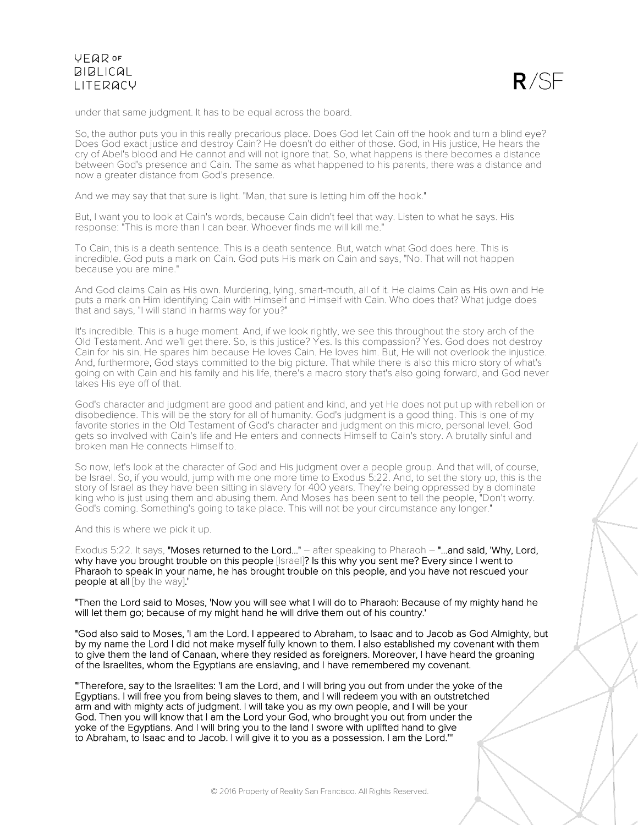

under that same judgment. It has to be equal across the board.

So, the author puts you in this really precarious place. Does God let Cain off the hook and turn a blind eye? Does God exact justice and destroy Cain? He doesn't do either of those. God, in His justice, He hears the cry of Abel's blood and He cannot and will not ignore that. So, what happens is there becomes a distance between God's presence and Cain. The same as what happened to his parents, there was a distance and now a greater distance from God's presence.

And we may say that that sure is light. "Man, that sure is letting him off the hook."

But, I want you to look at Cain's words, because Cain didn't feel that way. Listen to what he says. His response: "This is more than I can bear. Whoever finds me will kill me."

To Cain, this is a death sentence. This is a death sentence. But, watch what God does here. This is incredible. God puts a mark on Cain. God puts His mark on Cain and says, "No. That will not happen because you are mine."

And God claims Cain as His own. Murdering, lying, smart-mouth, all of it. He claims Cain as His own and He puts a mark on Him identifying Cain with Himself and Himself with Cain. Who does that? What judge does that and says, "I will stand in harms way for you?"

It's incredible. This is a huge moment. And, if we look rightly, we see this throughout the story arch of the Old Testament. And we'll get there. So, is this justice? Yes. Is this compassion? Yes. God does not destroy Cain for his sin. He spares him because He loves Cain. He loves him. But, He will not overlook the injustice. And, furthermore, God stays committed to the big picture. That while there is also this micro story of what's going on with Cain and his family and his life, there's a macro story that's also going forward, and God never takes His eye off of that.

God's character and judgment are good and patient and kind, and yet He does not put up with rebellion or disobedience. This will be the story for all of humanity. God's judgment is a good thing. This is one of my favorite stories in the Old Testament of God's character and judgment on this micro, personal level. God gets so involved with Cain's life and He enters and connects Himself to Cain's story. A brutally sinful and broken man He connects Himself to.

So now, let's look at the character of God and His judgment over a people group. And that will, of course, be Israel. So, if you would, jump with me one more time to Exodus 5:22. And, to set the story up, this is the story of Israel as they have been sitting in slavery for 400 years. They're being oppressed by a dominate king who is just using them and abusing them. And Moses has been sent to tell the people, "Don't worry. God's coming. Something's going to take place. This will not be your circumstance any longer."

And this is where we pick it up.

Exodus 5:22. It says, "Moses returned to the Lord..." – after speaking to Pharaoh – "...and said, 'Why, Lord, why have you brought trouble on this people [Israel]? Is this why you sent me? Every since I went to Pharaoh to speak in your name, he has brought trouble on this people, and you have not rescued your people at all [by the way].'

"Then the Lord said to Moses, 'Now you will see what I will do to Pharaoh: Because of my mighty hand he will let them go; because of my might hand he will drive them out of his country.'

"God also said to Moses, 'I am the Lord. I appeared to Abraham, to Isaac and to Jacob as God Almighty, but by my name the Lord I did not make myself fully known to them. I also established my covenant with them to give them the land of Canaan, where they resided as foreigners. Moreover, I have heard the groaning of the Israelites, whom the Egyptians are enslaving, and I have remembered my covenant.

"'Therefore, say to the Israelites: 'I am the Lord, and I will bring you out from under the yoke of the Egyptians. I will free you from being slaves to them, and I will redeem you with an outstretched arm and with mighty acts of judgment. I will take you as my own people, and I will be your God. Then you will know that I am the Lord your God, who brought you out from under the yoke of the Egyptians. And I will bring you to the land I swore with uplifted hand to give to Abraham, to Isaac and to Jacob. I will give it to you as a possession. I am the Lord.'''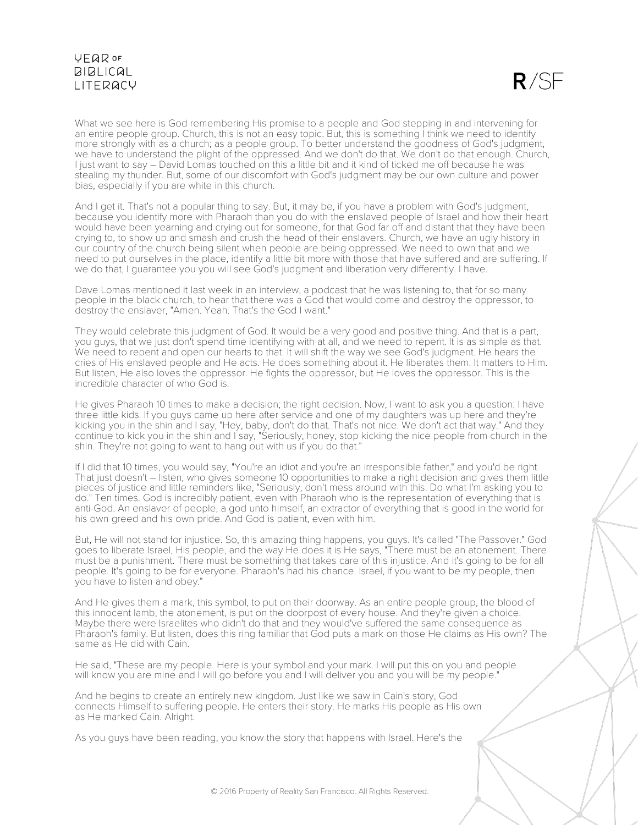$R/SE$ 

What we see here is God remembering His promise to a people and God stepping in and intervening for an entire people group. Church, this is not an easy topic. But, this is something I think we need to identify more strongly with as a church; as a people group. To better understand the goodness of God's judgment, we have to understand the plight of the oppressed. And we don't do that. We don't do that enough. Church, I just want to say – David Lomas touched on this a little bit and it kind of ticked me off because he was stealing my thunder. But, some of our discomfort with God's judgment may be our own culture and power bias, especially if you are white in this church.

And I get it. That's not a popular thing to say. But, it may be, if you have a problem with God's judgment, because you identify more with Pharaoh than you do with the enslaved people of Israel and how their heart would have been yearning and crying out for someone, for that God far off and distant that they have been crying to, to show up and smash and crush the head of their enslavers. Church, we have an ugly history in our country of the church being silent when people are being oppressed. We need to own that and we need to put ourselves in the place, identify a little bit more with those that have suffered and are suffering. If we do that, I guarantee you you will see God's judgment and liberation very differently. I have.

Dave Lomas mentioned it last week in an interview, a podcast that he was listening to, that for so many people in the black church, to hear that there was a God that would come and destroy the oppressor, to destroy the enslaver, "Amen. Yeah. That's the God I want."

They would celebrate this judgment of God. It would be a very good and positive thing. And that is a part, you guys, that we just don't spend time identifying with at all, and we need to repent. It is as simple as that. We need to repent and open our hearts to that. It will shift the way we see God's judgment. He hears the cries of His enslaved people and He acts. He does something about it. He liberates them. It matters to Him. But listen, He also loves the oppressor. He fights the oppressor, but He loves the oppressor. This is the incredible character of who God is.

He gives Pharaoh 10 times to make a decision; the right decision. Now, I want to ask you a question: I have three little kids. If you guys came up here after service and one of my daughters was up here and they're kicking you in the shin and I say, "Hey, baby, don't do that. That's not nice. We don't act that way." And they continue to kick you in the shin and I say, "Seriously, honey, stop kicking the nice people from church in the shin. They're not going to want to hang out with us if you do that."

If I did that 10 times, you would say, "You're an idiot and you're an irresponsible father," and you'd be right. That just doesn't – listen, who gives someone 10 opportunities to make a right decision and gives them little pieces of justice and little reminders like, "Seriously, don't mess around with this. Do what I'm asking you to do." Ten times. God is incredibly patient, even with Pharaoh who is the representation of everything that is anti-God. An enslaver of people, a god unto himself, an extractor of everything that is good in the world for his own greed and his own pride. And God is patient, even with him.

But, He will not stand for injustice. So, this amazing thing happens, you guys. It's called "The Passover." God goes to liberate Israel, His people, and the way He does it is He says, "There must be an atonement. There must be a punishment. There must be something that takes care of this injustice. And it's going to be for all people. It's going to be for everyone. Pharaoh's had his chance. Israel, if you want to be my people, then you have to listen and obey."

And He gives them a mark, this symbol, to put on their doorway. As an entire people group, the blood of this innocent lamb, the atonement, is put on the doorpost of every house. And they're given a choice. Maybe there were Israelites who didn't do that and they would've suffered the same consequence as Pharaoh's family. But listen, does this ring familiar that God puts a mark on those He claims as His own? The same as He did with Cain.

He said, "These are my people. Here is your symbol and your mark. I will put this on you and people will know you are mine and I will go before you and I will deliver you and you will be my people."

And he begins to create an entirely new kingdom. Just like we saw in Cain's story, God connects Himself to suffering people. He enters their story. He marks His people as His own as He marked Cain. Alright.

As you guys have been reading, you know the story that happens with Israel. Here's the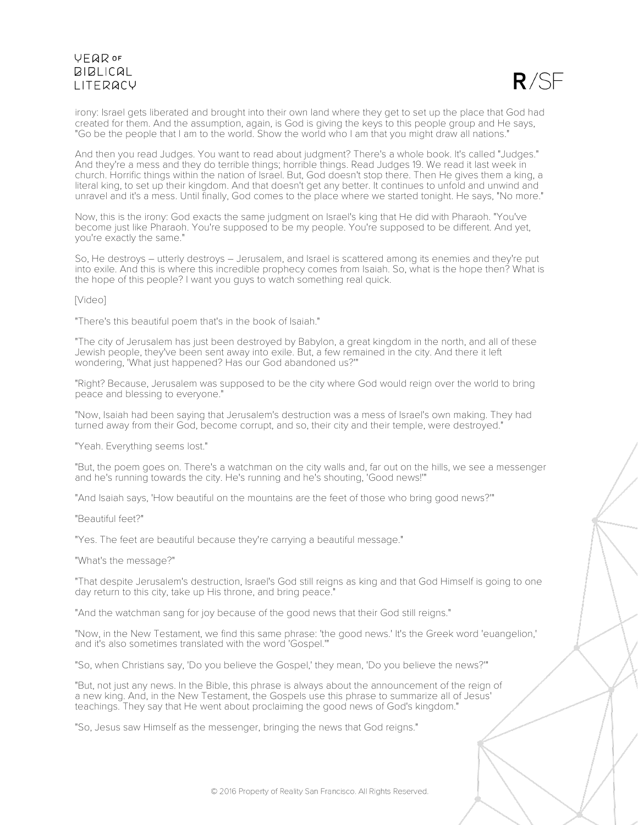

irony: Israel gets liberated and brought into their own land where they get to set up the place that God had created for them. And the assumption, again, is God is giving the keys to this people group and He says, "Go be the people that I am to the world. Show the world who I am that you might draw all nations."

And then you read Judges. You want to read about judgment? There's a whole book. It's called "Judges." And they're a mess and they do terrible things; horrible things. Read Judges 19. We read it last week in church. Horrific things within the nation of Israel. But, God doesn't stop there. Then He gives them a king, a literal king, to set up their kingdom. And that doesn't get any better. It continues to unfold and unwind and unravel and it's a mess. Until finally, God comes to the place where we started tonight. He says, "No more."

Now, this is the irony: God exacts the same judgment on Israel's king that He did with Pharaoh. "You've become just like Pharaoh. You're supposed to be my people. You're supposed to be different. And yet, you're exactly the same."

So, He destroys – utterly destroys – Jerusalem, and Israel is scattered among its enemies and they're put into exile. And this is where this incredible prophecy comes from Isaiah. So, what is the hope then? What is the hope of this people? I want you guys to watch something real quick.

[Video]

"There's this beautiful poem that's in the book of Isaiah."

"The city of Jerusalem has just been destroyed by Babylon, a great kingdom in the north, and all of these Jewish people, they've been sent away into exile. But, a few remained in the city. And there it left wondering, 'What just happened? Has our God abandoned us?'"

"Right? Because, Jerusalem was supposed to be the city where God would reign over the world to bring peace and blessing to everyone."

"Now, Isaiah had been saying that Jerusalem's destruction was a mess of Israel's own making. They had turned away from their God, become corrupt, and so, their city and their temple, were destroyed."

"Yeah. Everything seems lost."

"But, the poem goes on. There's a watchman on the city walls and, far out on the hills, we see a messenger and he's running towards the city. He's running and he's shouting, 'Good news!'"

"And Isaiah says, 'How beautiful on the mountains are the feet of those who bring good news?'"

"Beautiful feet?"

"Yes. The feet are beautiful because they're carrying a beautiful message."

"What's the message?"

"That despite Jerusalem's destruction, Israel's God still reigns as king and that God Himself is going to one day return to this city, take up His throne, and bring peace."

"And the watchman sang for joy because of the good news that their God still reigns."

"Now, in the New Testament, we find this same phrase: 'the good news.' It's the Greek word 'euangelion,' and it's also sometimes translated with the word 'Gospel.'"

"So, when Christians say, 'Do you believe the Gospel,' they mean, 'Do you believe the news?'"

"But, not just any news. In the Bible, this phrase is always about the announcement of the reign of a new king. And, in the New Testament, the Gospels use this phrase to summarize all of Jesus' teachings. They say that He went about proclaiming the good news of God's kingdom."

"So, Jesus saw Himself as the messenger, bringing the news that God reigns."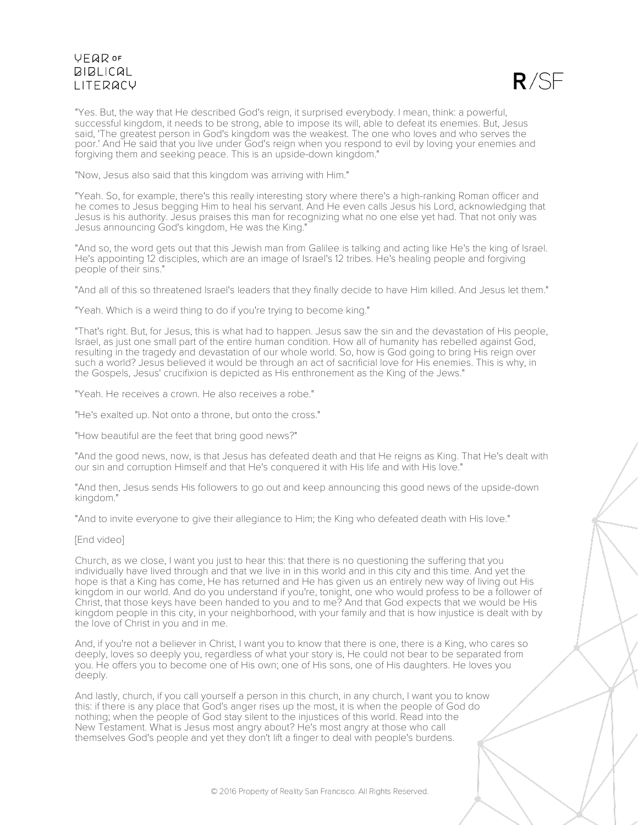

"Yes. But, the way that He described God's reign, it surprised everybody. I mean, think: a powerful, successful kingdom, it needs to be strong, able to impose its will, able to defeat its enemies. But, Jesus said, 'The greatest person in God's kingdom was the weakest. The one who loves and who serves the poor.' And He said that you live under God's reign when you respond to evil by loving your enemies and forgiving them and seeking peace. This is an upside-down kingdom."

"Now, Jesus also said that this kingdom was arriving with Him."

"Yeah. So, for example, there's this really interesting story where there's a high-ranking Roman officer and he comes to Jesus begging Him to heal his servant. And He even calls Jesus his Lord, acknowledging that Jesus is his authority. Jesus praises this man for recognizing what no one else yet had. That not only was Jesus announcing God's kingdom, He was the King."

"And so, the word gets out that this Jewish man from Galilee is talking and acting like He's the king of Israel. He's appointing 12 disciples, which are an image of Israel's 12 tribes. He's healing people and forgiving people of their sins."

"And all of this so threatened Israel's leaders that they finally decide to have Him killed. And Jesus let them."

"Yeah. Which is a weird thing to do if you're trying to become king."

"That's right. But, for Jesus, this is what had to happen. Jesus saw the sin and the devastation of His people, Israel, as just one small part of the entire human condition. How all of humanity has rebelled against God, resulting in the tragedy and devastation of our whole world. So, how is God going to bring His reign over such a world? Jesus believed it would be through an act of sacrificial love for His enemies. This is why, in the Gospels, Jesus' crucifixion is depicted as His enthronement as the King of the Jews."

"Yeah. He receives a crown. He also receives a robe."

"He's exalted up. Not onto a throne, but onto the cross."

"How beautiful are the feet that bring good news?"

"And the good news, now, is that Jesus has defeated death and that He reigns as King. That He's dealt with our sin and corruption Himself and that He's conquered it with His life and with His love."

"And then, Jesus sends His followers to go out and keep announcing this good news of the upside-down kingdom."

"And to invite everyone to give their allegiance to Him; the King who defeated death with His love."

### [End video]

Church, as we close, I want you just to hear this: that there is no questioning the suffering that you individually have lived through and that we live in in this world and in this city and this time. And yet the hope is that a King has come, He has returned and He has given us an entirely new way of living out His kingdom in our world. And do you understand if you're, tonight, one who would profess to be a follower of Christ, that those keys have been handed to you and to me? And that God expects that we would be His kingdom people in this city, in your neighborhood, with your family and that is how injustice is dealt with by the love of Christ in you and in me.

And, if you're not a believer in Christ, I want you to know that there is one, there is a King, who cares so deeply, loves so deeply you, regardless of what your story is, He could not bear to be separated from you. He offers you to become one of His own; one of His sons, one of His daughters. He loves you deeply.

And lastly, church, if you call yourself a person in this church, in any church, I want you to know this: if there is any place that God's anger rises up the most, it is when the people of God do nothing; when the people of God stay silent to the injustices of this world. Read into the New Testament. What is Jesus most angry about? He's most angry at those who call themselves God's people and yet they don't lift a finger to deal with people's burdens.